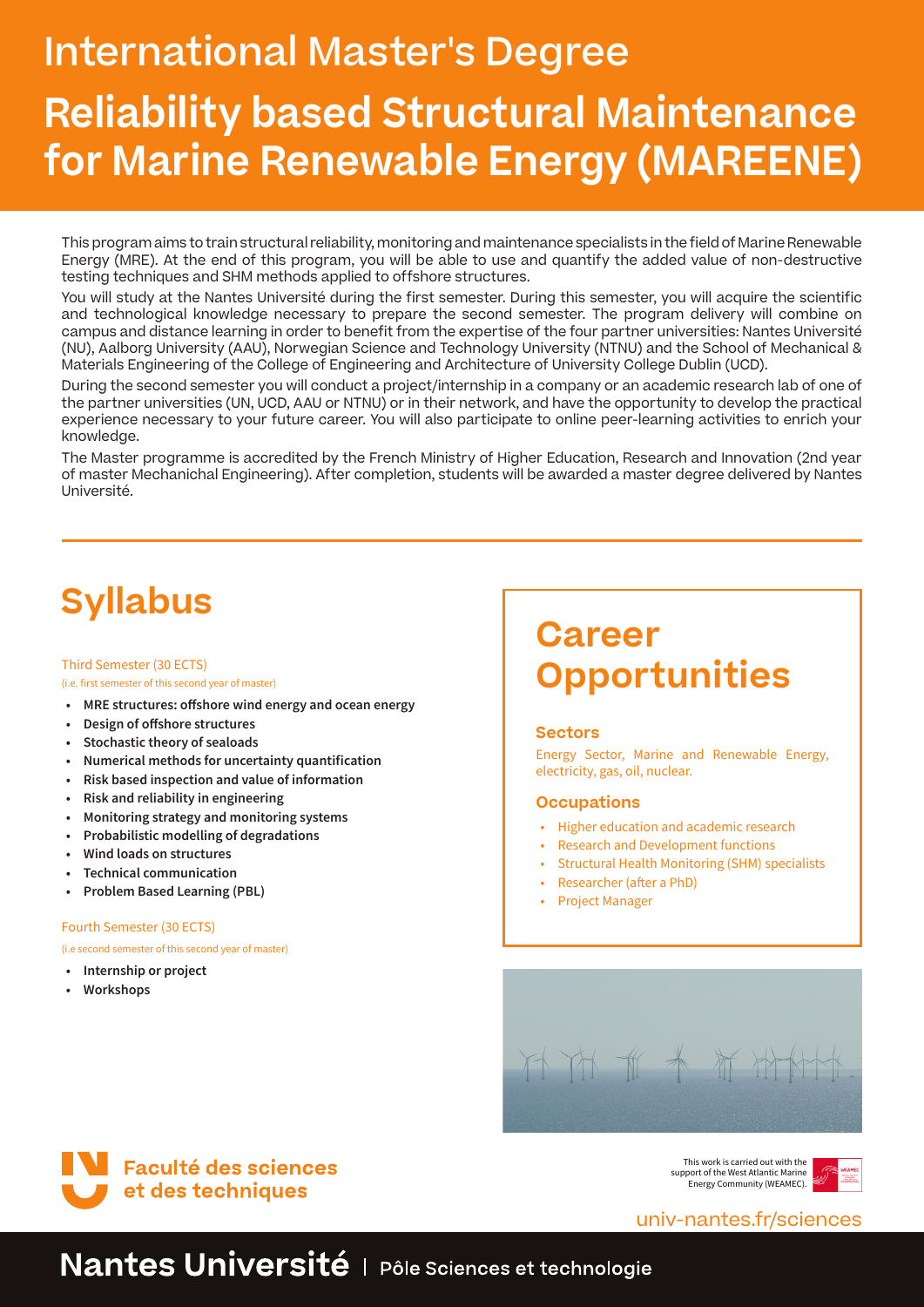# International Master's Degree **Reliability based Structural Maintenance for Marine Renewable Energy (MAREENE)**

This program aims to train structural reliability, monitoring and maintenance specialists in the field of Marine Renewable Energy (MRE). At the end of this program, you will be able to use and quantify the added value of non-destructive testing techniques and SHM methods applied to offshore structures.

You will study at the Nantes Université during the first semester. During this semester, you will acquire the scientific and technological knowledge necessary to prepare the second semester. The program delivery will combine on campus and distance learning in order to benefit from the expertise of the four partner universities: Nantes Université (NU), Aalborg University (AAU), Norwegian Science and Technology University (NTNU) and the School of Mechanical & Materials Engineering of the College of Engineering and Architecture of University College Dublin (UCD).

During the second semester you will conduct a project/internship in a company or an academic research lab of one of the partner universities (UN, UCD, AAU or NTNU) or in their network, and have the opportunity to develop the practical experience necessary to your future career. You will also participate to online peer-learning activities to enrich your knowledge.

The Master programme is accredited by the French Ministry of Higher Education, Research and Innovation (2nd year of master Mechanichal Engineering). After completion, students will be awarded a master degree delivered by Nantes Université.

## **Syllabus**

#### Third Semester (30 ECTS) (i.e. first semester of this second year of master)

- **• MRE structures: offshore wind energy and ocean energy**
- **• Design of offshore structures**
- **• Stochastic theory of sealoads**
- **• Numerical methods for uncertainty quantification**
- **• Risk based inspection and value of information**
- **• Risk and reliability in engineering**
- **• Monitoring strategy and monitoring systems**
- **• Probabilistic modelling of degradations**
- **• Wind loads on structures**
- **• Technical communication**
- **• Problem Based Learning (PBL)**

#### Fourth Semester (30 ECTS)

(i.e second semester of this second year of master)

- **• Internship or project**
- **• Workshops**

### **Career Opportunities**

### **Sectors**

Energy Sector, Marine and Renewable Energy, electricity, gas, oil, nuclear.

### **Occupations**

- Higher education and academic research
- Research and Development functions
- Structural Health Monitoring (SHM) specialists
- Researcher (after a PhD)
- Project Manager





This work is carried out with the support of the West Atlantic Marine Energy Community (WEAMEC).



### univ-nantes.fr/sciences

### Nantes Université | Pôle Sciences et technologie